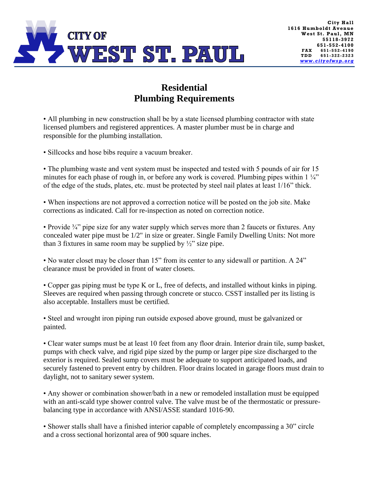

## **Residential Plumbing Requirements**

• All plumbing in new construction shall be by a state licensed plumbing contractor with state licensed plumbers and registered apprentices. A master plumber must be in charge and responsible for the plumbing installation.

• Sillcocks and hose bibs require a vacuum breaker.

• The plumbing waste and vent system must be inspected and tested with 5 pounds of air for 15 minutes for each phase of rough in, or before any work is covered. Plumbing pipes within  $1\frac{1}{4}$ " of the edge of the studs, plates, etc. must be protected by steel nail plates at least 1/16" thick.

• When inspections are not approved a correction notice will be posted on the job site. Make corrections as indicated. Call for re-inspection as noted on correction notice.

• Provide  $\frac{3}{4}$ " pipe size for any water supply which serves more than 2 faucets or fixtures. Any concealed water pipe must be 1/2" in size or greater. Single Family Dwelling Units: Not more than 3 fixtures in same room may be supplied by  $\frac{1}{2}$  size pipe.

• No water closet may be closer than 15" from its center to any sidewall or partition. A 24" clearance must be provided in front of water closets.

• Copper gas piping must be type K or L, free of defects, and installed without kinks in piping. Sleeves are required when passing through concrete or stucco. CSST installed per its listing is also acceptable. Installers must be certified.

• Steel and wrought iron piping run outside exposed above ground, must be galvanized or painted.

• Clear water sumps must be at least 10 feet from any floor drain. Interior drain tile, sump basket, pumps with check valve, and rigid pipe sized by the pump or larger pipe size discharged to the exterior is required. Sealed sump covers must be adequate to support anticipated loads, and securely fastened to prevent entry by children. Floor drains located in garage floors must drain to daylight, not to sanitary sewer system.

• Any shower or combination shower/bath in a new or remodeled installation must be equipped with an anti-scald type shower control valve. The valve must be of the thermostatic or pressurebalancing type in accordance with ANSI/ASSE standard 1016-90.

• Shower stalls shall have a finished interior capable of completely encompassing a 30" circle and a cross sectional horizontal area of 900 square inches.